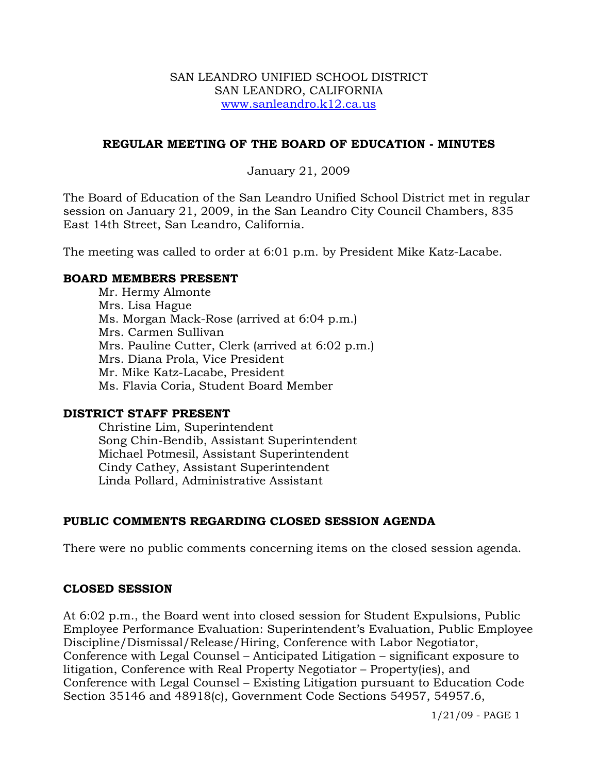#### SAN LEANDRO UNIFIED SCHOOL DISTRICT SAN LEANDRO, CALIFORNIA www.sanleandro.k12.ca.us

## **REGULAR MEETING OF THE BOARD OF EDUCATION - MINUTES**

## January 21, 2009

The Board of Education of the San Leandro Unified School District met in regular session on January 21, 2009, in the San Leandro City Council Chambers, 835 East 14th Street, San Leandro, California.

The meeting was called to order at 6:01 p.m. by President Mike Katz-Lacabe.

## **BOARD MEMBERS PRESENT**

Mr. Hermy Almonte Mrs. Lisa Hague Ms. Morgan Mack-Rose (arrived at 6:04 p.m.) Mrs. Carmen Sullivan Mrs. Pauline Cutter, Clerk (arrived at 6:02 p.m.) Mrs. Diana Prola, Vice President Mr. Mike Katz-Lacabe, President Ms. Flavia Coria, Student Board Member

## **DISTRICT STAFF PRESENT**

Christine Lim, Superintendent Song Chin-Bendib, Assistant Superintendent Michael Potmesil, Assistant Superintendent Cindy Cathey, Assistant Superintendent Linda Pollard, Administrative Assistant

## **PUBLIC COMMENTS REGARDING CLOSED SESSION AGENDA**

There were no public comments concerning items on the closed session agenda.

## **CLOSED SESSION**

At 6:02 p.m., the Board went into closed session for Student Expulsions, Public Employee Performance Evaluation: Superintendent's Evaluation, Public Employee Discipline/Dismissal/Release/Hiring, Conference with Labor Negotiator, Conference with Legal Counsel – Anticipated Litigation – significant exposure to litigation, Conference with Real Property Negotiator – Property(ies), and Conference with Legal Counsel – Existing Litigation pursuant to Education Code Section 35146 and 48918(c), Government Code Sections 54957, 54957.6,

1/21/09 - PAGE 1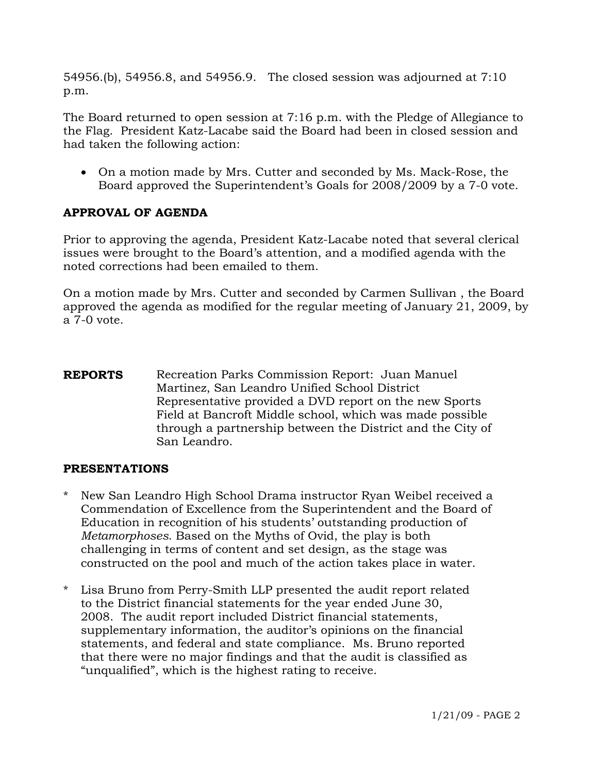54956.(b), 54956.8, and 54956.9. The closed session was adjourned at 7:10 p.m.

The Board returned to open session at 7:16 p.m. with the Pledge of Allegiance to the Flag. President Katz-Lacabe said the Board had been in closed session and had taken the following action:

• On a motion made by Mrs. Cutter and seconded by Ms. Mack-Rose, the Board approved the Superintendent's Goals for 2008/2009 by a 7-0 vote.

# **APPROVAL OF AGENDA**

Prior to approving the agenda, President Katz-Lacabe noted that several clerical issues were brought to the Board's attention, and a modified agenda with the noted corrections had been emailed to them.

On a motion made by Mrs. Cutter and seconded by Carmen Sullivan , the Board approved the agenda as modified for the regular meeting of January 21, 2009, by a 7-0 vote.

**REPORTS** Recreation Parks Commission Report: Juan Manuel Martinez, San Leandro Unified School District Representative provided a DVD report on the new Sports Field at Bancroft Middle school, which was made possible through a partnership between the District and the City of San Leandro.

## **PRESENTATIONS**

- New San Leandro High School Drama instructor Ryan Weibel received a Commendation of Excellence from the Superintendent and the Board of Education in recognition of his students' outstanding production of *Metamorphoses*. Based on the Myths of Ovid, the play is both challenging in terms of content and set design, as the stage was constructed on the pool and much of the action takes place in water.
- \* Lisa Bruno from Perry-Smith LLP presented the audit report related to the District financial statements for the year ended June 30, 2008. The audit report included District financial statements, supplementary information, the auditor's opinions on the financial statements, and federal and state compliance. Ms. Bruno reported that there were no major findings and that the audit is classified as "unqualified", which is the highest rating to receive.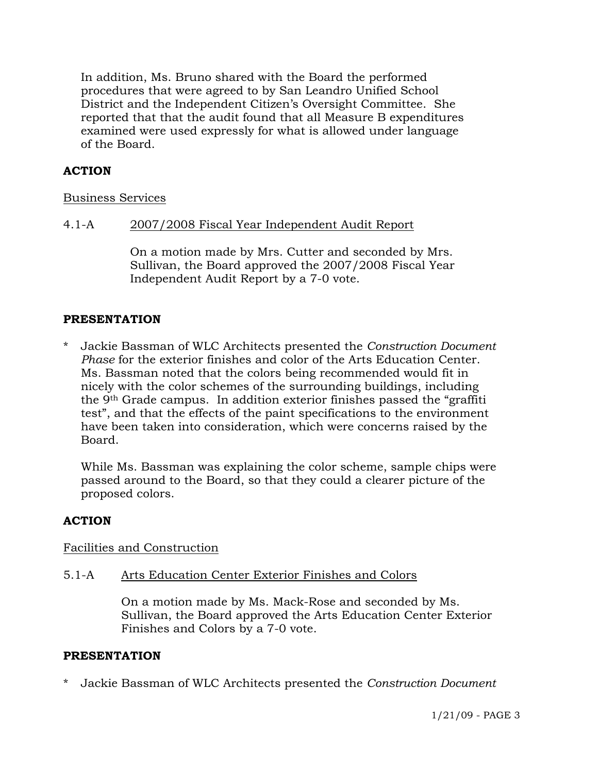In addition, Ms. Bruno shared with the Board the performed procedures that were agreed to by San Leandro Unified School District and the Independent Citizen's Oversight Committee. She reported that that the audit found that all Measure B expenditures examined were used expressly for what is allowed under language of the Board.

## **ACTION**

#### Business Services

## 4.1-A 2007/2008 Fiscal Year Independent Audit Report

On a motion made by Mrs. Cutter and seconded by Mrs. Sullivan, the Board approved the 2007/2008 Fiscal Year Independent Audit Report by a 7-0 vote.

#### **PRESENTATION**

\* Jackie Bassman of WLC Architects presented the *Construction Document Phase* for the exterior finishes and color of the Arts Education Center. Ms. Bassman noted that the colors being recommended would fit in nicely with the color schemes of the surrounding buildings, including the 9th Grade campus. In addition exterior finishes passed the "graffiti test", and that the effects of the paint specifications to the environment have been taken into consideration, which were concerns raised by the Board.

 While Ms. Bassman was explaining the color scheme, sample chips were passed around to the Board, so that they could a clearer picture of the proposed colors.

## **ACTION**

Facilities and Construction

#### 5.1-A Arts Education Center Exterior Finishes and Colors

On a motion made by Ms. Mack-Rose and seconded by Ms. Sullivan, the Board approved the Arts Education Center Exterior Finishes and Colors by a 7-0 vote.

#### **PRESENTATION**

\* Jackie Bassman of WLC Architects presented the *Construction Document*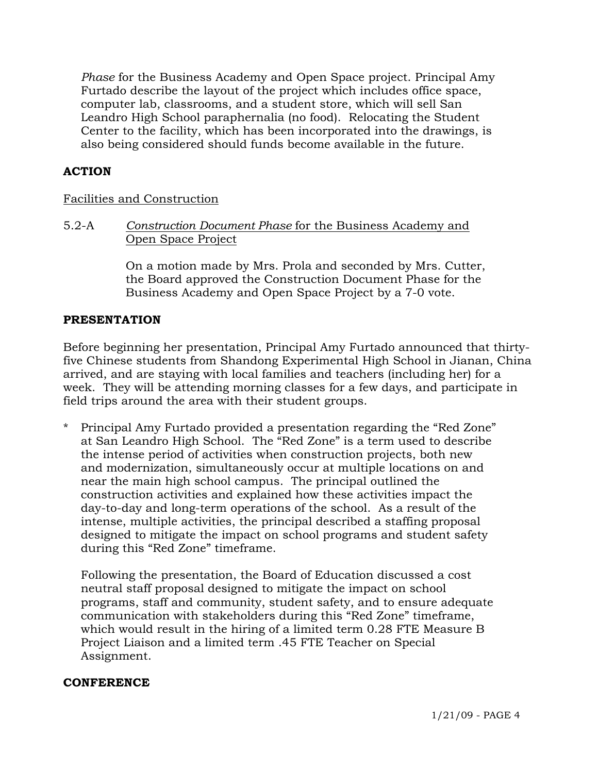*Phase* for the Business Academy and Open Space project. Principal Amy Furtado describe the layout of the project which includes office space, computer lab, classrooms, and a student store, which will sell San Leandro High School paraphernalia (no food). Relocating the Student Center to the facility, which has been incorporated into the drawings, is also being considered should funds become available in the future.

## **ACTION**

#### Facilities and Construction

5.2-A *Construction Document Phase* for the Business Academy and Open Space Project

> On a motion made by Mrs. Prola and seconded by Mrs. Cutter, the Board approved the Construction Document Phase for the Business Academy and Open Space Project by a 7-0 vote.

#### **PRESENTATION**

Before beginning her presentation, Principal Amy Furtado announced that thirtyfive Chinese students from Shandong Experimental High School in Jianan, China arrived, and are staying with local families and teachers (including her) for a week. They will be attending morning classes for a few days, and participate in field trips around the area with their student groups.

\* Principal Amy Furtado provided a presentation regarding the "Red Zone" at San Leandro High School. The "Red Zone" is a term used to describe the intense period of activities when construction projects, both new and modernization, simultaneously occur at multiple locations on and near the main high school campus. The principal outlined the construction activities and explained how these activities impact the day-to-day and long-term operations of the school. As a result of the intense, multiple activities, the principal described a staffing proposal designed to mitigate the impact on school programs and student safety during this "Red Zone" timeframe.

 Following the presentation, the Board of Education discussed a cost neutral staff proposal designed to mitigate the impact on school programs, staff and community, student safety, and to ensure adequate communication with stakeholders during this "Red Zone" timeframe, which would result in the hiring of a limited term 0.28 FTE Measure B Project Liaison and a limited term .45 FTE Teacher on Special Assignment.

#### **CONFERENCE**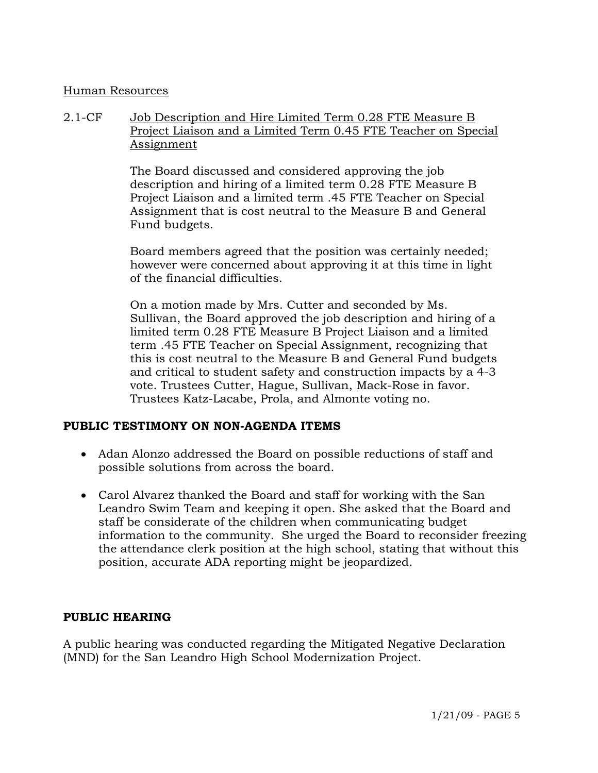#### Human Resources

## 2.1-CF Job Description and Hire Limited Term 0.28 FTE Measure B Project Liaison and a Limited Term 0.45 FTE Teacher on Special Assignment

The Board discussed and considered approving the job description and hiring of a limited term 0.28 FTE Measure B Project Liaison and a limited term .45 FTE Teacher on Special Assignment that is cost neutral to the Measure B and General Fund budgets.

Board members agreed that the position was certainly needed; however were concerned about approving it at this time in light of the financial difficulties.

On a motion made by Mrs. Cutter and seconded by Ms. Sullivan, the Board approved the job description and hiring of a limited term 0.28 FTE Measure B Project Liaison and a limited term .45 FTE Teacher on Special Assignment, recognizing that this is cost neutral to the Measure B and General Fund budgets and critical to student safety and construction impacts by a 4-3 vote. Trustees Cutter, Hague, Sullivan, Mack-Rose in favor. Trustees Katz-Lacabe, Prola, and Almonte voting no.

#### **PUBLIC TESTIMONY ON NON-AGENDA ITEMS**

- Adan Alonzo addressed the Board on possible reductions of staff and possible solutions from across the board.
- Carol Alvarez thanked the Board and staff for working with the San Leandro Swim Team and keeping it open. She asked that the Board and staff be considerate of the children when communicating budget information to the community. She urged the Board to reconsider freezing the attendance clerk position at the high school, stating that without this position, accurate ADA reporting might be jeopardized.

## **PUBLIC HEARING**

A public hearing was conducted regarding the Mitigated Negative Declaration (MND) for the San Leandro High School Modernization Project.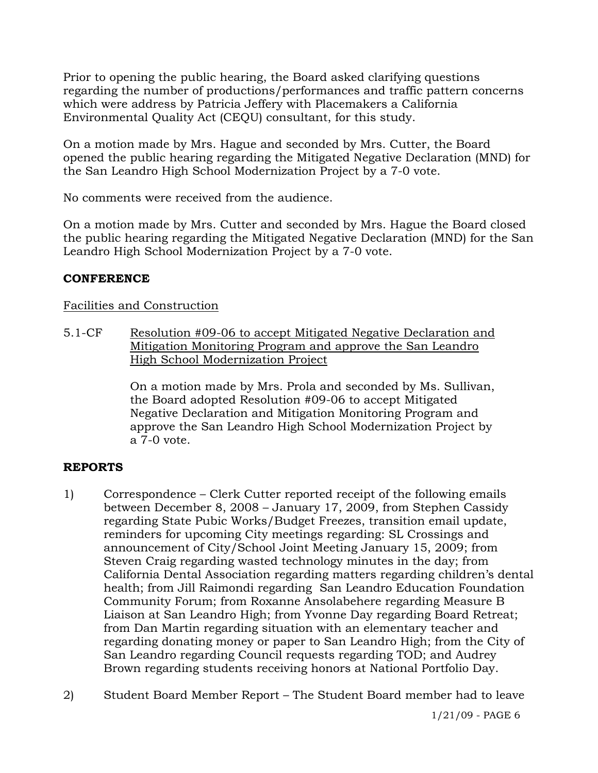Prior to opening the public hearing, the Board asked clarifying questions regarding the number of productions/performances and traffic pattern concerns which were address by Patricia Jeffery with Placemakers a California Environmental Quality Act (CEQU) consultant, for this study.

On a motion made by Mrs. Hague and seconded by Mrs. Cutter, the Board opened the public hearing regarding the Mitigated Negative Declaration (MND) for the San Leandro High School Modernization Project by a 7-0 vote.

No comments were received from the audience.

On a motion made by Mrs. Cutter and seconded by Mrs. Hague the Board closed the public hearing regarding the Mitigated Negative Declaration (MND) for the San Leandro High School Modernization Project by a 7-0 vote.

# **CONFERENCE**

# Facilities and Construction

5.1-CF Resolution #09-06 to accept Mitigated Negative Declaration and Mitigation Monitoring Program and approve the San Leandro High School Modernization Project

> On a motion made by Mrs. Prola and seconded by Ms. Sullivan, the Board adopted Resolution #09-06 to accept Mitigated Negative Declaration and Mitigation Monitoring Program and approve the San Leandro High School Modernization Project by a 7-0 vote.

# **REPORTS**

- 1) Correspondence Clerk Cutter reported receipt of the following emails between December 8, 2008 – January 17, 2009, from Stephen Cassidy regarding State Pubic Works/Budget Freezes, transition email update, reminders for upcoming City meetings regarding: SL Crossings and announcement of City/School Joint Meeting January 15, 2009; from Steven Craig regarding wasted technology minutes in the day; from California Dental Association regarding matters regarding children's dental health; from Jill Raimondi regarding San Leandro Education Foundation Community Forum; from Roxanne Ansolabehere regarding Measure B Liaison at San Leandro High; from Yvonne Day regarding Board Retreat; from Dan Martin regarding situation with an elementary teacher and regarding donating money or paper to San Leandro High; from the City of San Leandro regarding Council requests regarding TOD; and Audrey Brown regarding students receiving honors at National Portfolio Day.
- 2) Student Board Member Report The Student Board member had to leave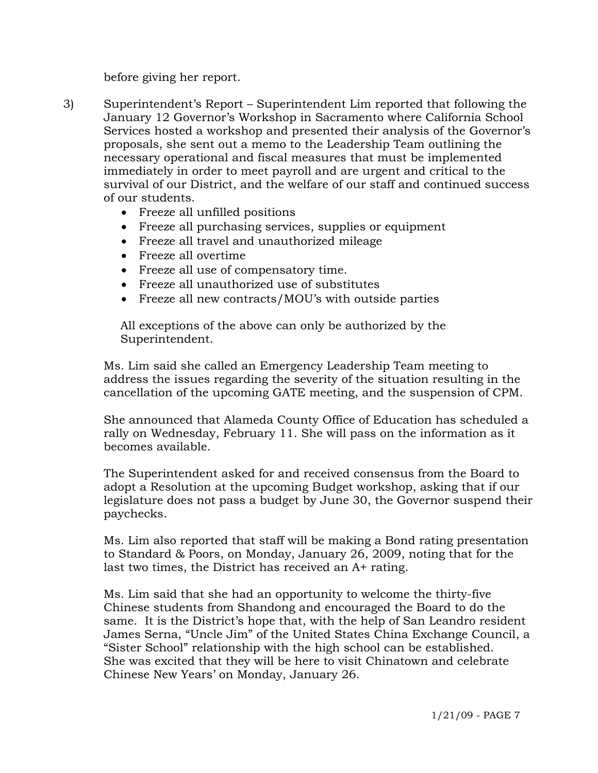before giving her report.

- 3) Superintendent's Report Superintendent Lim reported that following the January 12 Governor's Workshop in Sacramento where California School Services hosted a workshop and presented their analysis of the Governor's proposals, she sent out a memo to the Leadership Team outlining the necessary operational and fiscal measures that must be implemented immediately in order to meet payroll and are urgent and critical to the survival of our District, and the welfare of our staff and continued success of our students.
	- Freeze all unfilled positions
	- Freeze all purchasing services, supplies or equipment
	- Freeze all travel and unauthorized mileage
	- Freeze all overtime
	- Freeze all use of compensatory time.
	- Freeze all unauthorized use of substitutes
	- Freeze all new contracts/MOU's with outside parties

 All exceptions of the above can only be authorized by the Superintendent.

Ms. Lim said she called an Emergency Leadership Team meeting to address the issues regarding the severity of the situation resulting in the cancellation of the upcoming GATE meeting, and the suspension of CPM.

She announced that Alameda County Office of Education has scheduled a rally on Wednesday, February 11. She will pass on the information as it becomes available.

The Superintendent asked for and received consensus from the Board to adopt a Resolution at the upcoming Budget workshop, asking that if our legislature does not pass a budget by June 30, the Governor suspend their paychecks.

Ms. Lim also reported that staff will be making a Bond rating presentation to Standard & Poors, on Monday, January 26, 2009, noting that for the last two times, the District has received an A+ rating.

Ms. Lim said that she had an opportunity to welcome the thirty-five Chinese students from Shandong and encouraged the Board to do the same. It is the District's hope that, with the help of San Leandro resident James Serna, "Uncle Jim" of the United States China Exchange Council, a "Sister School" relationship with the high school can be established. She was excited that they will be here to visit Chinatown and celebrate Chinese New Years' on Monday, January 26.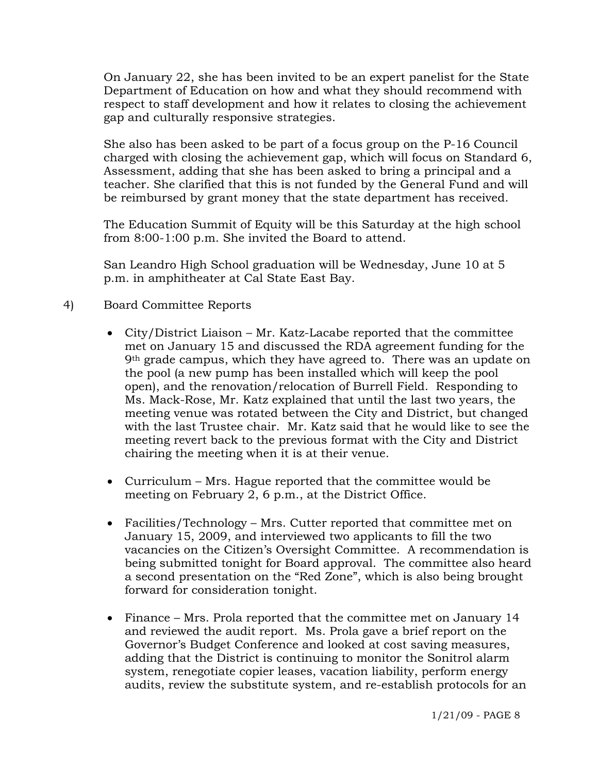On January 22, she has been invited to be an expert panelist for the State Department of Education on how and what they should recommend with respect to staff development and how it relates to closing the achievement gap and culturally responsive strategies.

She also has been asked to be part of a focus group on the P-16 Council charged with closing the achievement gap, which will focus on Standard 6, Assessment, adding that she has been asked to bring a principal and a teacher. She clarified that this is not funded by the General Fund and will be reimbursed by grant money that the state department has received.

The Education Summit of Equity will be this Saturday at the high school from 8:00-1:00 p.m. She invited the Board to attend.

San Leandro High School graduation will be Wednesday, June 10 at 5 p.m. in amphitheater at Cal State East Bay.

# 4) Board Committee Reports

- City/District Liaison Mr. Katz-Lacabe reported that the committee met on January 15 and discussed the RDA agreement funding for the 9<sup>th</sup> grade campus, which they have agreed to. There was an update on the pool (a new pump has been installed which will keep the pool open), and the renovation/relocation of Burrell Field. Responding to Ms. Mack-Rose, Mr. Katz explained that until the last two years, the meeting venue was rotated between the City and District, but changed with the last Trustee chair. Mr. Katz said that he would like to see the meeting revert back to the previous format with the City and District chairing the meeting when it is at their venue.
- Curriculum Mrs. Hague reported that the committee would be meeting on February 2, 6 p.m., at the District Office.
- Facilities/Technology Mrs. Cutter reported that committee met on January 15, 2009, and interviewed two applicants to fill the two vacancies on the Citizen's Oversight Committee. A recommendation is being submitted tonight for Board approval. The committee also heard a second presentation on the "Red Zone", which is also being brought forward for consideration tonight.
- Finance Mrs. Prola reported that the committee met on January 14 and reviewed the audit report. Ms. Prola gave a brief report on the Governor's Budget Conference and looked at cost saving measures, adding that the District is continuing to monitor the Sonitrol alarm system, renegotiate copier leases, vacation liability, perform energy audits, review the substitute system, and re-establish protocols for an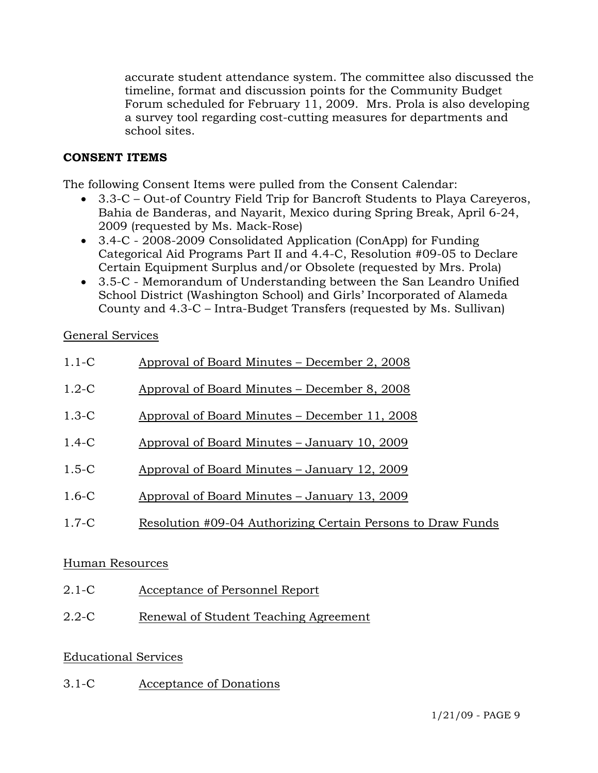accurate student attendance system. The committee also discussed the timeline, format and discussion points for the Community Budget Forum scheduled for February 11, 2009. Mrs. Prola is also developing a survey tool regarding cost-cutting measures for departments and school sites.

# **CONSENT ITEMS**

The following Consent Items were pulled from the Consent Calendar:

- 3.3-C Out-of Country Field Trip for Bancroft Students to Playa Careyeros, Bahia de Banderas, and Nayarit, Mexico during Spring Break, April 6-24, 2009 (requested by Ms. Mack-Rose)
- 3.4-C 2008-2009 Consolidated Application (ConApp) for Funding Categorical Aid Programs Part II and 4.4-C, Resolution #09-05 to Declare Certain Equipment Surplus and/or Obsolete (requested by Mrs. Prola)
- 3.5-C Memorandum of Understanding between the San Leandro Unified School District (Washington School) and Girls' Incorporated of Alameda County and 4.3-C – Intra-Budget Transfers (requested by Ms. Sullivan)

# General Services

| $1.1-C$   | Approval of Board Minutes – December 2, 2008                |
|-----------|-------------------------------------------------------------|
| $1.2 - C$ | Approval of Board Minutes – December 8, 2008                |
| $1.3-C$   | Approval of Board Minutes – December 11, 2008               |
| $1.4 - C$ | Approval of Board Minutes – January 10, 2009                |
| $1.5 - C$ | Approval of Board Minutes – January 12, 2009                |
| $1.6 - C$ | Approval of Board Minutes – January 13, 2009                |
| $1.7-C$   | Resolution #09-04 Authorizing Certain Persons to Draw Funds |
|           |                                                             |

## Human Resources

- 2.1-C Acceptance of Personnel Report
- 2.2-C Renewal of Student Teaching Agreement

# Educational Services

3.1-C Acceptance of Donations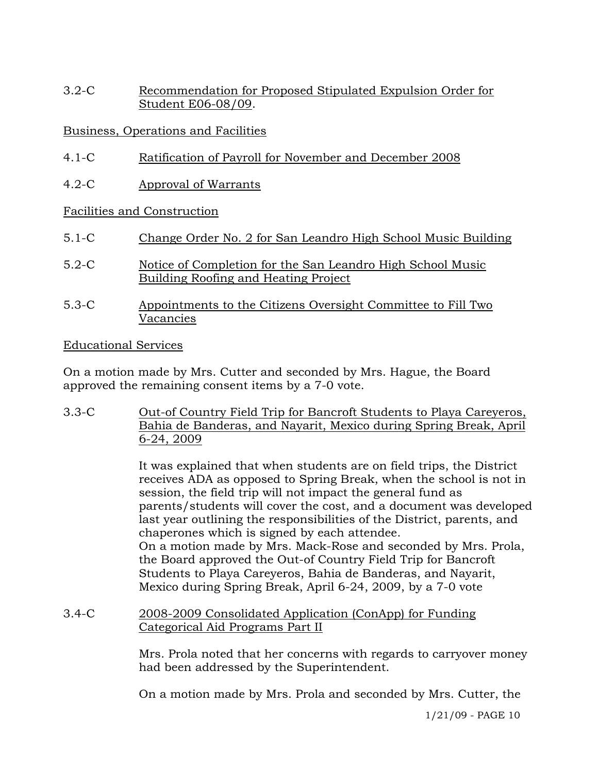3.2-C Recommendation for Proposed Stipulated Expulsion Order for Student E06-08/09.

# Business, Operations and Facilities

- 4.1-C Ratification of Payroll for November and December 2008
- 4.2-C Approval of Warrants

## Facilities and Construction

- 5.1-C Change Order No. 2 for San Leandro High School Music Building
- 5.2-C Notice of Completion for the San Leandro High School Music Building Roofing and Heating Project
- 5.3-C Appointments to the Citizens Oversight Committee to Fill Two Vacancies

## Educational Services

On a motion made by Mrs. Cutter and seconded by Mrs. Hague, the Board approved the remaining consent items by a 7-0 vote.

3.3-C Out-of Country Field Trip for Bancroft Students to Playa Careyeros, Bahia de Banderas, and Nayarit, Mexico during Spring Break, April 6-24, 2009

> It was explained that when students are on field trips, the District receives ADA as opposed to Spring Break, when the school is not in session, the field trip will not impact the general fund as parents/students will cover the cost, and a document was developed last year outlining the responsibilities of the District, parents, and chaperones which is signed by each attendee. On a motion made by Mrs. Mack-Rose and seconded by Mrs. Prola, the Board approved the Out-of Country Field Trip for Bancroft Students to Playa Careyeros, Bahia de Banderas, and Nayarit, Mexico during Spring Break, April 6-24, 2009, by a 7-0 vote

## 3.4-C 2008-2009 Consolidated Application (ConApp) for Funding Categorical Aid Programs Part II

Mrs. Prola noted that her concerns with regards to carryover money had been addressed by the Superintendent.

On a motion made by Mrs. Prola and seconded by Mrs. Cutter, the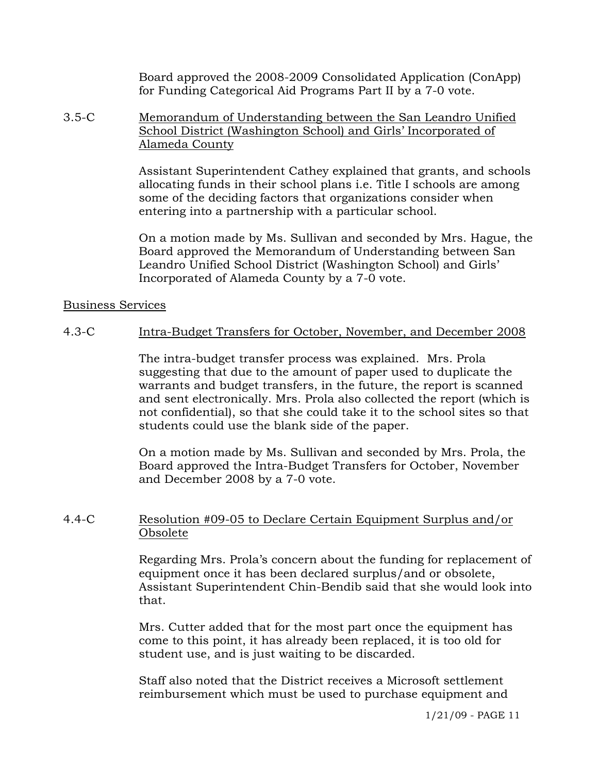Board approved the 2008-2009 Consolidated Application (ConApp) for Funding Categorical Aid Programs Part II by a 7-0 vote.

3.5-C Memorandum of Understanding between the San Leandro Unified School District (Washington School) and Girls' Incorporated of Alameda County

> Assistant Superintendent Cathey explained that grants, and schools allocating funds in their school plans i.e. Title I schools are among some of the deciding factors that organizations consider when entering into a partnership with a particular school.

> On a motion made by Ms. Sullivan and seconded by Mrs. Hague, the Board approved the Memorandum of Understanding between San Leandro Unified School District (Washington School) and Girls' Incorporated of Alameda County by a 7-0 vote.

#### Business Services

## 4.3-C Intra-Budget Transfers for October, November, and December 2008

The intra-budget transfer process was explained. Mrs. Prola suggesting that due to the amount of paper used to duplicate the warrants and budget transfers, in the future, the report is scanned and sent electronically. Mrs. Prola also collected the report (which is not confidential), so that she could take it to the school sites so that students could use the blank side of the paper.

On a motion made by Ms. Sullivan and seconded by Mrs. Prola, the Board approved the Intra-Budget Transfers for October, November and December 2008 by a 7-0 vote.

## 4.4-C Resolution #09-05 to Declare Certain Equipment Surplus and/or Obsolete

Regarding Mrs. Prola's concern about the funding for replacement of equipment once it has been declared surplus/and or obsolete, Assistant Superintendent Chin-Bendib said that she would look into that.

Mrs. Cutter added that for the most part once the equipment has come to this point, it has already been replaced, it is too old for student use, and is just waiting to be discarded.

Staff also noted that the District receives a Microsoft settlement reimbursement which must be used to purchase equipment and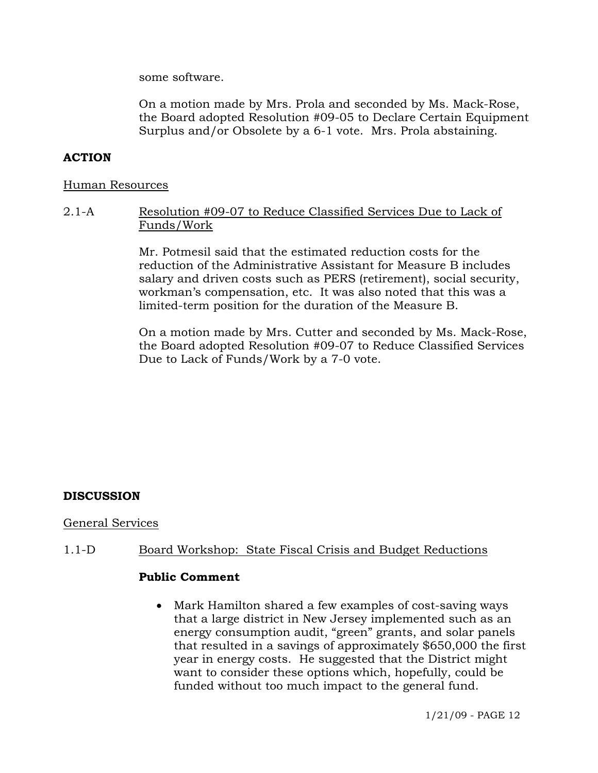some software.

On a motion made by Mrs. Prola and seconded by Ms. Mack-Rose, the Board adopted Resolution #09-05 to Declare Certain Equipment Surplus and/or Obsolete by a 6-1 vote. Mrs. Prola abstaining.

## **ACTION**

#### Human Resources

2.1-A Resolution #09-07 to Reduce Classified Services Due to Lack of Funds/Work

> Mr. Potmesil said that the estimated reduction costs for the reduction of the Administrative Assistant for Measure B includes salary and driven costs such as PERS (retirement), social security, workman's compensation, etc. It was also noted that this was a limited-term position for the duration of the Measure B.

On a motion made by Mrs. Cutter and seconded by Ms. Mack-Rose, the Board adopted Resolution #09-07 to Reduce Classified Services Due to Lack of Funds/Work by a 7-0 vote.

## **DISCUSSION**

#### General Services

## 1.1-D Board Workshop: State Fiscal Crisis and Budget Reductions

#### **Public Comment**

• Mark Hamilton shared a few examples of cost-saving ways that a large district in New Jersey implemented such as an energy consumption audit, "green" grants, and solar panels that resulted in a savings of approximately \$650,000 the first year in energy costs. He suggested that the District might want to consider these options which, hopefully, could be funded without too much impact to the general fund.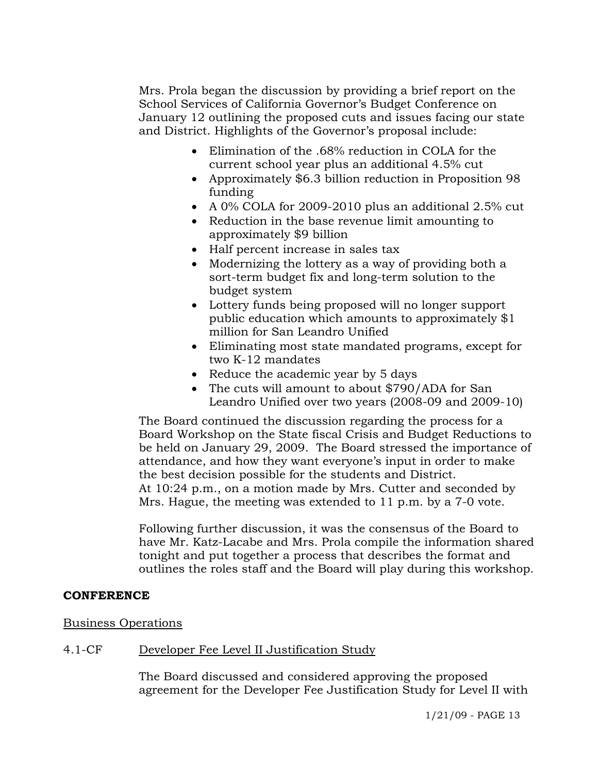Mrs. Prola began the discussion by providing a brief report on the School Services of California Governor's Budget Conference on January 12 outlining the proposed cuts and issues facing our state and District. Highlights of the Governor's proposal include:

- Elimination of the .68% reduction in COLA for the current school year plus an additional 4.5% cut
- Approximately \$6.3 billion reduction in Proposition 98 funding
- A 0% COLA for 2009-2010 plus an additional 2.5% cut
- Reduction in the base revenue limit amounting to approximately \$9 billion
- Half percent increase in sales tax
- Modernizing the lottery as a way of providing both a sort-term budget fix and long-term solution to the budget system
- Lottery funds being proposed will no longer support public education which amounts to approximately \$1 million for San Leandro Unified
- Eliminating most state mandated programs, except for two K-12 mandates
- Reduce the academic year by 5 days
- The cuts will amount to about \$790/ADA for San Leandro Unified over two years (2008-09 and 2009-10)

The Board continued the discussion regarding the process for a Board Workshop on the State fiscal Crisis and Budget Reductions to be held on January 29, 2009. The Board stressed the importance of attendance, and how they want everyone's input in order to make the best decision possible for the students and District. At 10:24 p.m., on a motion made by Mrs. Cutter and seconded by Mrs. Hague, the meeting was extended to 11 p.m. by a 7-0 vote.

Following further discussion, it was the consensus of the Board to have Mr. Katz-Lacabe and Mrs. Prola compile the information shared tonight and put together a process that describes the format and outlines the roles staff and the Board will play during this workshop.

## **CONFERENCE**

## Business Operations

# 4.1-CF Developer Fee Level II Justification Study

The Board discussed and considered approving the proposed agreement for the Developer Fee Justification Study for Level II with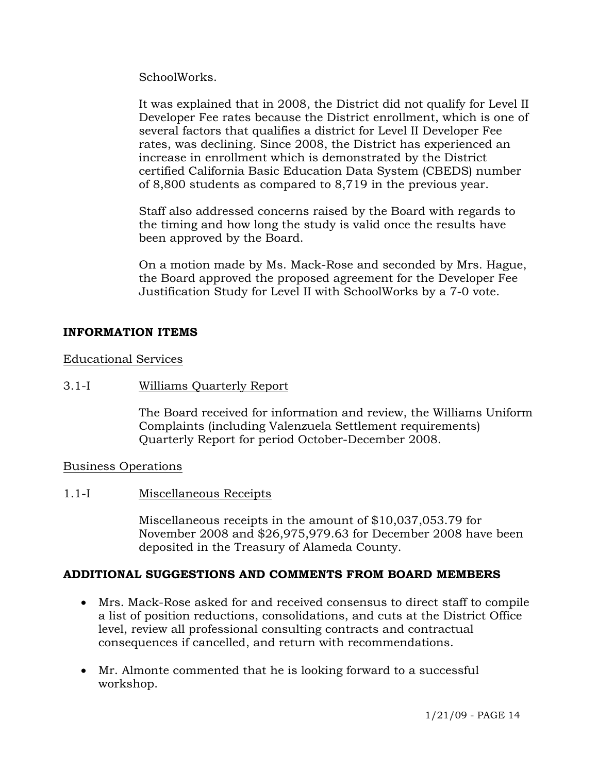SchoolWorks.

It was explained that in 2008, the District did not qualify for Level II Developer Fee rates because the District enrollment, which is one of several factors that qualifies a district for Level II Developer Fee rates, was declining. Since 2008, the District has experienced an increase in enrollment which is demonstrated by the District certified California Basic Education Data System (CBEDS) number of 8,800 students as compared to 8,719 in the previous year.

Staff also addressed concerns raised by the Board with regards to the timing and how long the study is valid once the results have been approved by the Board.

On a motion made by Ms. Mack-Rose and seconded by Mrs. Hague, the Board approved the proposed agreement for the Developer Fee Justification Study for Level II with SchoolWorks by a 7-0 vote.

# **INFORMATION ITEMS**

Educational Services

#### 3.1-I Williams Quarterly Report

The Board received for information and review, the Williams Uniform Complaints (including Valenzuela Settlement requirements) Quarterly Report for period October-December 2008.

## Business Operations

## 1.1-I Miscellaneous Receipts

Miscellaneous receipts in the amount of \$10,037,053.79 for November 2008 and \$26,975,979.63 for December 2008 have been deposited in the Treasury of Alameda County.

## **ADDITIONAL SUGGESTIONS AND COMMENTS FROM BOARD MEMBERS**

- Mrs. Mack-Rose asked for and received consensus to direct staff to compile a list of position reductions, consolidations, and cuts at the District Office level, review all professional consulting contracts and contractual consequences if cancelled, and return with recommendations.
- Mr. Almonte commented that he is looking forward to a successful workshop.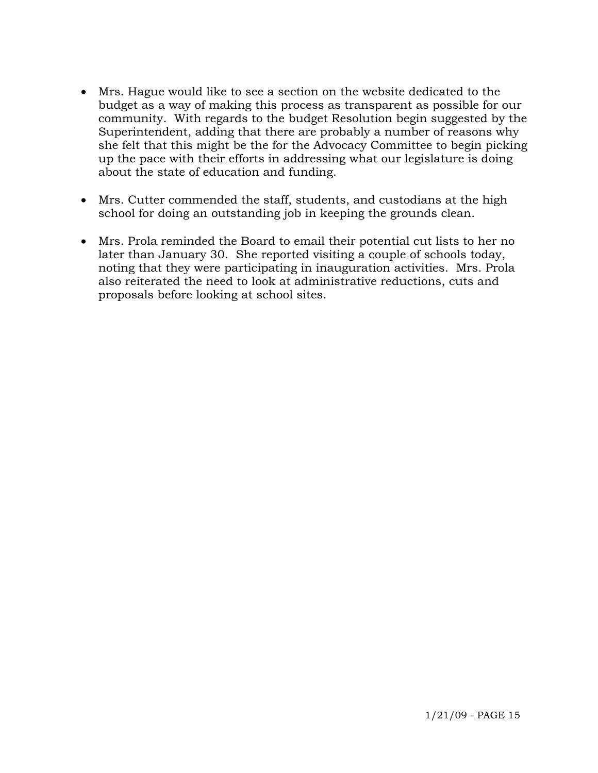- Mrs. Hague would like to see a section on the website dedicated to the budget as a way of making this process as transparent as possible for our community. With regards to the budget Resolution begin suggested by the Superintendent, adding that there are probably a number of reasons why she felt that this might be the for the Advocacy Committee to begin picking up the pace with their efforts in addressing what our legislature is doing about the state of education and funding.
- Mrs. Cutter commended the staff, students, and custodians at the high school for doing an outstanding job in keeping the grounds clean.
- Mrs. Prola reminded the Board to email their potential cut lists to her no later than January 30. She reported visiting a couple of schools today, noting that they were participating in inauguration activities. Mrs. Prola also reiterated the need to look at administrative reductions, cuts and proposals before looking at school sites.